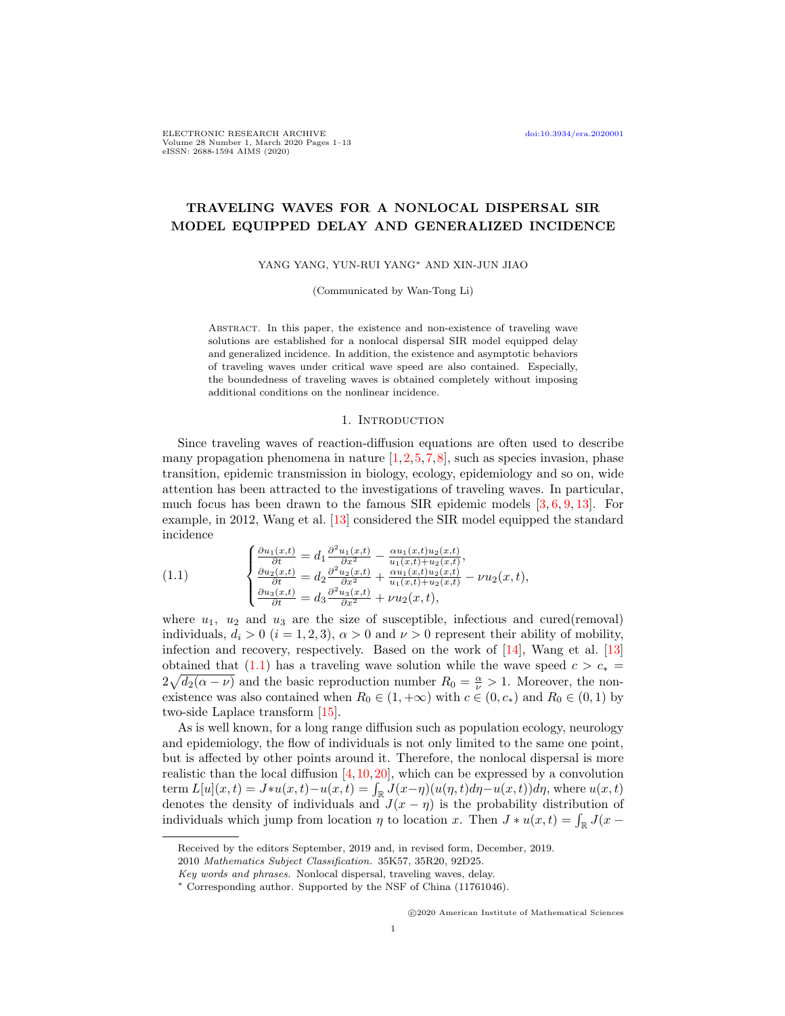# TRAVELING WAVES FOR A NONLOCAL DISPERSAL SIR MODEL EQUIPPED DELAY AND GENERALIZED INCIDENCE

YANG YANG, YUN-RUI YANG<sup>∗</sup> AND XIN-JUN JIAO

(Communicated by Wan-Tong Li)

Abstract. In this paper, the existence and non-existence of traveling wave solutions are established for a nonlocal dispersal SIR model equipped delay and generalized incidence. In addition, the existence and asymptotic behaviors of traveling waves under critical wave speed are also contained. Especially, the boundedness of traveling waves is obtained completely without imposing additional conditions on the nonlinear incidence.

#### 1. INTRODUCTION

Since traveling waves of reaction-diffusion equations are often used to describe many propagation phenomena in nature  $[1,2,5,7,8]$  $[1,2,5,7,8]$  $[1,2,5,7,8]$  $[1,2,5,7,8]$  $[1,2,5,7,8]$ , such as species invasion, phase transition, epidemic transmission in biology, ecology, epidemiology and so on, wide attention has been attracted to the investigations of traveling waves. In particular, much focus has been drawn to the famous SIR epidemic models [\[3,](#page-11-5) [6,](#page-11-6) [9,](#page-11-7) [13\]](#page-12-0). For example, in 2012, Wang et al. [\[13\]](#page-12-0) considered the SIR model equipped the standard incidence

<span id="page-0-0"></span>(1.1) 
$$
\begin{cases} \frac{\partial u_1(x,t)}{\partial t} = d_1 \frac{\partial^2 u_1(x,t)}{\partial x^2} - \frac{\alpha u_1(x,t) u_2(x,t)}{u_1(x,t) + u_2(x,t)},\\ \frac{\partial u_2(x,t)}{\partial t} = d_2 \frac{\partial^2 u_2(x,t)}{\partial x^2} + \frac{\alpha u_1(x,t) u_2(x,t)}{u_1(x,t) + u_2(x,t)} - \nu u_2(x,t),\\ \frac{\partial u_3(x,t)}{\partial t} = d_3 \frac{\partial^2 u_3(x,t)}{\partial x^2} + \nu u_2(x,t), \end{cases}
$$

where  $u_1$ ,  $u_2$  and  $u_3$  are the size of susceptible, infectious and cured(removal) individuals,  $d_i > 0$   $(i = 1, 2, 3)$ ,  $\alpha > 0$  and  $\nu > 0$  represent their ability of mobility, infection and recovery, respectively. Based on the work of [\[14\]](#page-12-1), Wang et al. [\[13\]](#page-12-0) obtained that [\(1.1\)](#page-0-0) has a traveling wave solution while the wave speed  $c > c_*$  $2\sqrt{d_2(\alpha-\nu)}$  and the basic reproduction number  $R_0=\frac{\alpha}{\nu}>1$ . Moreover, the nonexistence was also contained when  $R_0 \in (1, +\infty)$  with  $c \in (0, c_*)$  and  $R_0 \in (0, 1)$  by two-side Laplace transform [\[15\]](#page-12-2).

As is well known, for a long range diffusion such as population ecology, neurology and epidemiology, the flow of individuals is not only limited to the same one point, but is affected by other points around it. Therefore, the nonlocal dispersal is more realistic than the local diffusion  $[4,10,20]$  $[4,10,20]$  $[4,10,20]$ , which can be expressed by a convolution term  $L[u](x,t) = J*u(x,t) - u(x,t) = \int_{\mathbb{R}} J(x-\eta)(u(\eta,t)d\eta - u(x,t))d\eta$ , where  $u(x,t)$ denotes the density of individuals and  $J(x - \eta)$  is the probability distribution of individuals which jump from location  $\eta$  to location x. Then  $J * u(x,t) = \int_{\mathbb{R}} J(x -$ 

Received by the editors September, 2019 and, in revised form, December, 2019.

<sup>2010</sup> Mathematics Subject Classification. 35K57, 35R20, 92D25.

Key words and phrases. Nonlocal dispersal, traveling waves, delay.

<sup>∗</sup> Corresponding author. Supported by the NSF of China (11761046).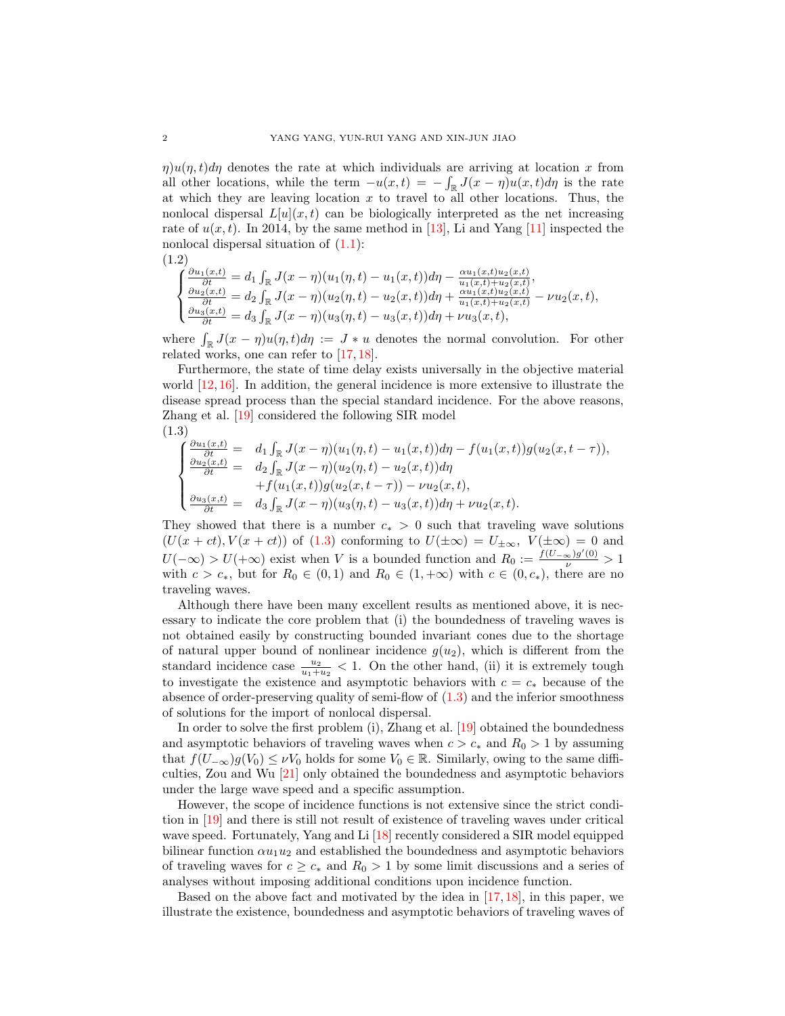$\eta$ u( $\eta$ , t)d $\eta$  denotes the rate at which individuals are arriving at location x from all other locations, while the term  $-u(x,t) = -\int_{\mathbb{R}} J(x-\eta)u(x,t)d\eta$  is the rate at which they are leaving location  $x$  to travel to all other locations. Thus, the nonlocal dispersal  $L[u](x, t)$  can be biologically interpreted as the net increasing rate of  $u(x, t)$ . In 2014, by the same method in [\[13\]](#page-12-0), Li and Yang [\[11\]](#page-12-5) inspected the nonlocal dispersal situation of  $(1.1)$ :

$$
(1.2)
$$

$$
\begin{cases} \frac{\partial u_1(x,t)}{\partial t} = d_1 \int_{\mathbb{R}} J(x-\eta)(u_1(\eta,t) - u_1(x,t)) d\eta - \frac{\alpha u_1(x,t) u_2(x,t)}{u_1(x,t) + u_2(x,t)},\\ \frac{\partial u_2(x,t)}{\partial t} = d_2 \int_{\mathbb{R}} J(x-\eta)(u_2(\eta,t) - u_2(x,t)) d\eta + \frac{\alpha u_1(x,t) u_2(x,t)}{u_1(x,t) + u_2(x,t)} - \nu u_2(x,t),\\ \frac{\partial u_3(x,t)}{\partial t} = d_3 \int_{\mathbb{R}} J(x-\eta)(u_3(\eta,t) - u_3(x,t)) d\eta + \nu u_3(x,t), \end{cases}
$$

where  $\int_{\mathbb{R}} J(x - \eta)u(\eta, t)d\eta := J * u$  denotes the normal convolution. For other related works, one can refer to [\[17,](#page-12-6) [18\]](#page-12-7).

Furthermore, the state of time delay exists universally in the objective material world  $[12, 16]$  $[12, 16]$  $[12, 16]$ . In addition, the general incidence is more extensive to illustrate the disease spread process than the special standard incidence. For the above reasons, Zhang et al. [\[19\]](#page-12-10) considered the following SIR model (1.3)

<span id="page-1-0"></span>
$$
\begin{cases}\n\frac{\partial u_1(x,t)}{\partial t} = d_1 \int_{\mathbb{R}} J(x-\eta)(u_1(\eta,t) - u_1(x,t)) d\eta - f(u_1(x,t))g(u_2(x,t-\tau)),\\
\frac{\partial u_2(x,t)}{\partial t} = d_2 \int_{\mathbb{R}} J(x-\eta)(u_2(\eta,t) - u_2(x,t)) d\eta\\
+ f(u_1(x,t))g(u_2(x,t-\tau)) - \nu u_2(x,t),\\
\frac{\partial u_3(x,t)}{\partial t} = d_3 \int_{\mathbb{R}} J(x-\eta)(u_3(\eta,t) - u_3(x,t)) d\eta + \nu u_2(x,t).\n\end{cases}
$$

They showed that there is a number  $c_* > 0$  such that traveling wave solutions  $(U(x + ct), V(x + ct))$  of [\(1.3\)](#page-1-0) conforming to  $U(\pm \infty) = U_{\pm \infty}$ ,  $V(\pm \infty) = 0$  and  $U(-\infty) > U(+\infty)$  exist when V is a bounded function and  $R_0 := \frac{f(U_{-\infty})g'(0)}{\nu} > 1$ with  $c > c_*$ , but for  $R_0 \in (0,1)$  and  $R_0 \in (1,+\infty)$  with  $c \in (0, c_*)$ , there are no traveling waves.

Although there have been many excellent results as mentioned above, it is necessary to indicate the core problem that (i) the boundedness of traveling waves is not obtained easily by constructing bounded invariant cones due to the shortage of natural upper bound of nonlinear incidence  $g(u_2)$ , which is different from the standard incidence case  $\frac{u_2}{u_1+u_2}$  < 1. On the other hand, (ii) it is extremely tough to investigate the existence and asymptotic behaviors with  $c = c_*$  because of the absence of order-preserving quality of semi-flow of [\(1.3\)](#page-1-0) and the inferior smoothness of solutions for the import of nonlocal dispersal.

In order to solve the first problem (i), Zhang et al. [\[19\]](#page-12-10) obtained the boundedness and asymptotic behaviors of traveling waves when  $c > c_*$  and  $R_0 > 1$  by assuming that  $f(U_{-\infty})g(V_0) \leq \nu V_0$  holds for some  $V_0 \in \mathbb{R}$ . Similarly, owing to the same difficulties, Zou and Wu [\[21\]](#page-12-11) only obtained the boundedness and asymptotic behaviors under the large wave speed and a specific assumption.

However, the scope of incidence functions is not extensive since the strict condition in [\[19\]](#page-12-10) and there is still not result of existence of traveling waves under critical wave speed. Fortunately, Yang and Li [\[18\]](#page-12-7) recently considered a SIR model equipped bilinear function  $\alpha u_1 u_2$  and established the boundedness and asymptotic behaviors of traveling waves for  $c \geq c_*$  and  $R_0 > 1$  by some limit discussions and a series of analyses without imposing additional conditions upon incidence function.

Based on the above fact and motivated by the idea in  $[17, 18]$  $[17, 18]$  $[17, 18]$ , in this paper, we illustrate the existence, boundedness and asymptotic behaviors of traveling waves of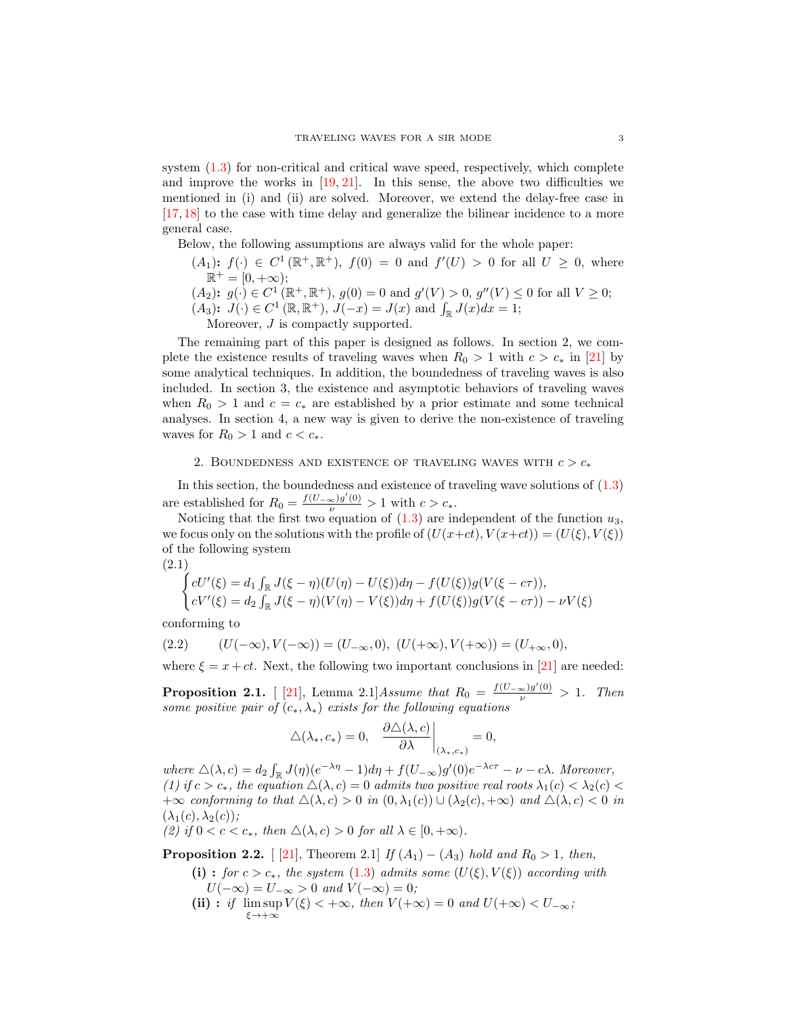system  $(1.3)$  for non-critical and critical wave speed, respectively, which complete and improve the works in  $[19, 21]$  $[19, 21]$  $[19, 21]$ . In this sense, the above two difficulties we mentioned in (i) and (ii) are solved. Moreover, we extend the delay-free case in [\[17,](#page-12-6) [18\]](#page-12-7) to the case with time delay and generalize the bilinear incidence to a more general case.

Below, the following assumptions are always valid for the whole paper:

- $(A_1)$ :  $f(\cdot) \in C^1(\mathbb{R}^+, \mathbb{R}^+), f(0) = 0$  and  $f'(U) > 0$  for all  $U \geq 0$ , where  $\mathbb{R}^+ = [0, +\infty);$
- $(A_2)$ :  $g(\cdot) \in C^1(\mathbb{R}^+, \mathbb{R}^+), g(0) = 0$  and  $g'(V) > 0, g''(V) \leq 0$  for all  $V \geq 0$ ;
- $(A_3)$ :  $J(\cdot) \in C^1(\mathbb{R}, \mathbb{R}^+), J(-x) = J(x)$  and  $\int_{\mathbb{R}} J(x) dx = 1$ ;

Moreover,  $J$  is compactly supported.

The remaining part of this paper is designed as follows. In section 2, we complete the existence results of traveling waves when  $R_0 > 1$  with  $c > c_*$  in [\[21\]](#page-12-11) by some analytical techniques. In addition, the boundedness of traveling waves is also included. In section 3, the existence and asymptotic behaviors of traveling waves when  $R_0 > 1$  and  $c = c_*$  are established by a prior estimate and some technical analyses. In section 4, a new way is given to derive the non-existence of traveling waves for  $R_0 > 1$  and  $c < c_*$ .

# 2. BOUNDEDNESS AND EXISTENCE OF TRAVELING WAVES WITH  $c > c_*$

In this section, the boundedness and existence of traveling wave solutions of  $(1.3)$ are established for  $R_0 = \frac{f(U_{-\infty})g'(0)}{\nu} > 1$  with  $c > c_*$ .

Noticing that the first two equation of  $(1.3)$  are independent of the function  $u_3$ , we focus only on the solutions with the profile of  $(U(x+ct), V(x+ct)) = (U(\xi), V(\xi))$ of the following system

(2.1)

<span id="page-2-1"></span>
$$
\begin{cases}\ncU'(\xi) = d_1 \int_{\mathbb{R}} J(\xi - \eta)(U(\eta) - U(\xi))d\eta - f(U(\xi))g(V(\xi - c\tau)),\\cV'(\xi) = d_2 \int_{\mathbb{R}} J(\xi - \eta)(V(\eta) - V(\xi))d\eta + f(U(\xi))g(V(\xi - c\tau)) - \nu V(\xi)\n\end{cases}
$$

conforming to

<span id="page-2-2"></span>(2.2) 
$$
(U(-\infty), V(-\infty)) = (U_{-\infty}, 0), (U(+\infty), V(+\infty)) = (U_{+\infty}, 0),
$$

where  $\xi = x + ct$ . Next, the following two important conclusions in [\[21\]](#page-12-11) are needed:

**Proposition 2.1.** [[\[21\]](#page-12-11), Lemma 2.1] Assume that  $R_0 = \frac{f(U_{-\infty})g'(0)}{\nu} > 1$ . Then some positive pair of  $(c_*, \lambda_*)$  exists for the following equations

$$
\Delta(\lambda_*,c_*)=0,\quad \frac{\partial\Delta(\lambda,c)}{\partial\lambda}\bigg|_{(\lambda_*,c_*)}=0,
$$

where  $\Delta(\lambda, c) = d_2 \int_{\mathbb{R}} J(\eta)(e^{-\lambda \eta} - 1) d\eta + f(U_{-\infty})g'(0)e^{-\lambda c\tau} - \nu - c\lambda$ . Moreover, (1) if  $c > c_*$ , the equation  $\Delta(\lambda, c) = 0$  admits two positive real roots  $\lambda_1(c) < \lambda_2(c)$  $+\infty$  conforming to that  $\Delta(\lambda, c) > 0$  in  $(0, \lambda_1(c)) \cup (\lambda_2(c), +\infty)$  and  $\Delta(\lambda, c) < 0$  in  $(\lambda_1(c), \lambda_2(c))$ ;

(2) if  $0 < c < c_*$ , then  $\Delta(\lambda, c) > 0$  for all  $\lambda \in [0, +\infty)$ .

<span id="page-2-0"></span>**Proposition 2.2.** [ [\[21\]](#page-12-11), Theorem 2.1] If  $(A_1) - (A_3)$  hold and  $R_0 > 1$ , then,

- (i) : for  $c > c_*$ , the system [\(1.3\)](#page-1-0) admits some  $(U(\xi), V(\xi))$  according with  $U(-\infty) = U_{-\infty} > 0$  and  $V(-\infty) = 0$ ;
- (ii) : if  $\limsup V(\xi) < +\infty$ , then  $V(+\infty) = 0$  and  $U(+\infty) < U_{-\infty}$ ;  $\xi \rightarrow +\infty$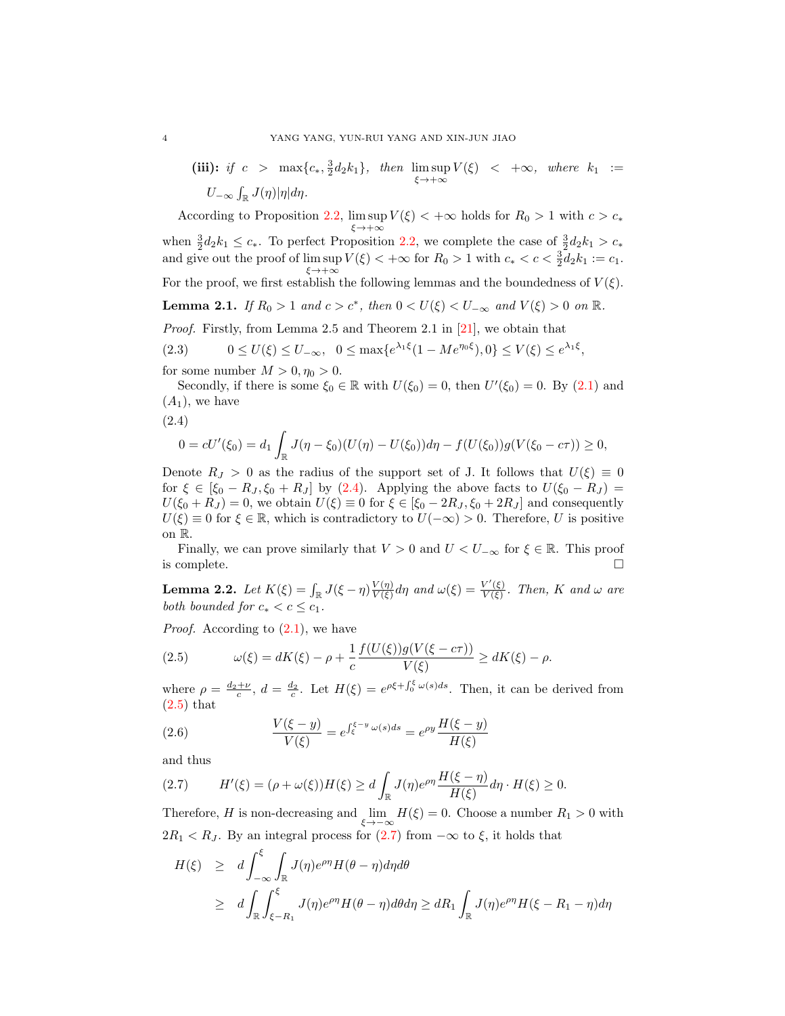(iii): if 
$$
c > \max\{c_*, \frac{3}{2}d_2k_1\}
$$
, then  $\limsup_{\xi \to +\infty} V(\xi) < +\infty$ , where  $k_1 := U_{-\infty} \int_{\mathbb{R}} J(\eta) |\eta| d\eta$ .

According to Proposition [2.2,](#page-2-0)  $\limsup_{\xi \to +\infty} V(\xi) < +\infty$  holds for  $R_0 > 1$  with  $c > c_*$ when  $\frac{3}{2}d_2k_1 \leq c_*$ . To perfect Proposition [2.2,](#page-2-0) we complete the case of  $\frac{3}{2}d_2k_1 > c_*$ and give out the proof of  $\limsup V(\xi) < +\infty$  for  $R_0 > 1$  with  $c_* < c < \frac{3}{2}d_2k_1 := c_1$ .  $\xi \rightarrow +\infty$ For the proof, we first establish the following lemmas and the boundedness of  $V(\xi)$ . **Lemma 2.1.** If  $R_0 > 1$  and  $c > c^*$ , then  $0 < U(\xi) < U_{-\infty}$  and  $V(\xi) > 0$  on  $\mathbb{R}$ .

<span id="page-3-6"></span>Proof. Firstly, from Lemma 2.5 and Theorem 2.1 in [\[21\]](#page-12-11), we obtain that

<span id="page-3-4"></span>(2.3)  $0 \le U(\xi) \le U_{-\infty}, \quad 0 \le \max\{e^{\lambda_1\xi}(1 - Me^{\eta_0\xi}), 0\} \le V(\xi) \le e^{\lambda_1\xi},$ 

for some number  $M > 0, \eta_0 > 0$ .

Secondly, if there is some  $\xi_0 \in \mathbb{R}$  with  $U(\xi_0) = 0$ , then  $U'(\xi_0) = 0$ . By  $(2.1)$  and  $(A_1)$ , we have

<span id="page-3-0"></span>(2.4)

$$
0 = cU'(\xi_0) = d_1 \int_{\mathbb{R}} J(\eta - \xi_0)(U(\eta) - U(\xi_0)) d\eta - f(U(\xi_0))g(V(\xi_0 - c\tau)) \ge 0,
$$

Denote  $R_J > 0$  as the radius of the support set of J. It follows that  $U(\xi) \equiv 0$ for  $\xi \in [\xi_0 - R_J, \xi_0 + R_J]$  by [\(2.4\)](#page-3-0). Applying the above facts to  $U(\xi_0 - R_J)$  =  $U(\xi_0 + R_J) = 0$ , we obtain  $U(\xi) \equiv 0$  for  $\xi \in [\xi_0 - 2R_J, \xi_0 + 2R_J]$  and consequently  $U(\xi) \equiv 0$  for  $\xi \in \mathbb{R}$ , which is contradictory to  $U(-\infty) > 0$ . Therefore, U is positive on R.

Finally, we can prove similarly that  $V > 0$  and  $U < U_{-\infty}$  for  $\xi \in \mathbb{R}$ . This proof is complete.  $\Box$ 

<span id="page-3-5"></span>**Lemma 2.2.** Let  $K(\xi) = \int_{\mathbb{R}} J(\xi - \eta) \frac{V(\eta)}{V(\xi)}$  $\frac{V(\eta)}{V(\xi)}d\eta$  and  $\omega(\xi) = \frac{V'(\xi)}{V(\xi)}$  $\frac{V^-(\xi)}{V(\xi)}$ . Then, K and  $\omega$  are both bounded for  $c_* < c \leq c_1$ .

*Proof.* According to  $(2.1)$ , we have

<span id="page-3-1"></span>(2.5) 
$$
\omega(\xi) = dK(\xi) - \rho + \frac{1}{c} \frac{f(U(\xi))g(V(\xi - c\tau))}{V(\xi)} \ge dK(\xi) - \rho.
$$

where  $\rho = \frac{d_2 + \nu}{c}$ ,  $d = \frac{d_2}{c}$ . Let  $H(\xi) = e^{\rho \xi + \int_0^{\xi} \omega(s) ds}$ . Then, it can be derived from  $(2.5)$  that

<span id="page-3-3"></span>(2.6) 
$$
\frac{V(\xi - y)}{V(\xi)} = e^{\int_{\xi}^{\xi - y} \omega(s) ds} = e^{\rho y} \frac{H(\xi - y)}{H(\xi)}
$$

and thus

<span id="page-3-2"></span>
$$
(2.7) \tH'(\xi) = (\rho + \omega(\xi))H(\xi) \ge d \int_{\mathbb{R}} J(\eta) e^{\rho \eta} \frac{H(\xi - \eta)}{H(\xi)} d\eta \cdot H(\xi) \ge 0.
$$

Therefore, H is non-decreasing and  $\lim_{\xi \to -\infty} H(\xi) = 0$ . Choose a number  $R_1 > 0$  with  $2R_1 < R_J$ . By an integral process for [\(2.7\)](#page-3-2) from  $-\infty$  to  $\xi$ , it holds that

$$
H(\xi) \ge d \int_{-\infty}^{\xi} \int_{\mathbb{R}} J(\eta) e^{\rho \eta} H(\theta - \eta) d\eta d\theta
$$
  
 
$$
\ge d \int_{\mathbb{R}} \int_{\xi - R_1}^{\xi} J(\eta) e^{\rho \eta} H(\theta - \eta) d\theta d\eta \ge dR_1 \int_{\mathbb{R}} J(\eta) e^{\rho \eta} H(\xi - R_1 - \eta) d\eta
$$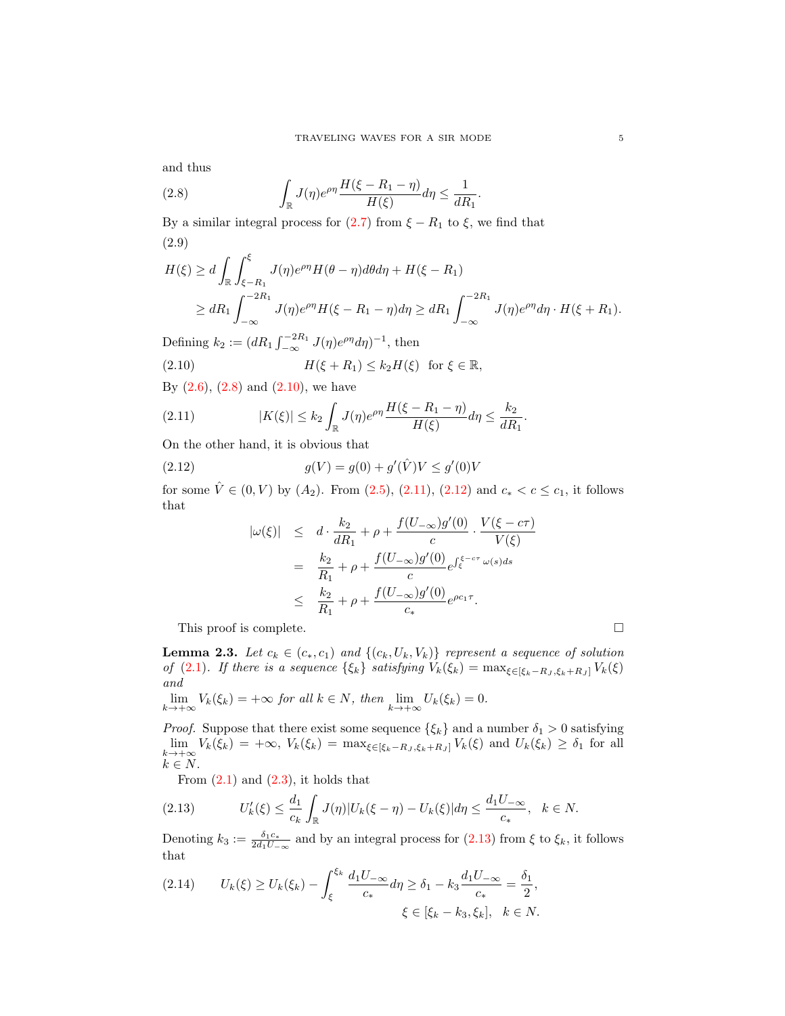and thus

<span id="page-4-0"></span>(2.8) 
$$
\int_{\mathbb{R}} J(\eta) e^{\rho \eta} \frac{H(\xi - R_1 - \eta)}{H(\xi)} d\eta \le \frac{1}{dR_1}.
$$

By a similar integral process for  $(2.7)$  from  $\xi - R_1$  to  $\xi$ , we find that (2.9)

$$
H(\xi) \ge d \int_{\mathbb{R}} \int_{\xi - R_1}^{\xi} J(\eta) e^{\rho \eta} H(\theta - \eta) d\theta d\eta + H(\xi - R_1)
$$
  
\n
$$
\ge dR_1 \int_{-\infty}^{-2R_1} J(\eta) e^{\rho \eta} H(\xi - R_1 - \eta) d\eta \ge dR_1 \int_{-\infty}^{-2R_1} J(\eta) e^{\rho \eta} d\eta \cdot H(\xi + R_1).
$$

Defining  $k_2 := (dR_1 \int_{-\infty}^{-2R_1} J(\eta) e^{\rho \eta} d\eta)^{-1}$ , then

<span id="page-4-1"></span>(2.10) 
$$
H(\xi + R_1) \le k_2 H(\xi) \text{ for } \xi \in \mathbb{R},
$$

By  $(2.6)$ ,  $(2.8)$  and  $(2.10)$ , we have

<span id="page-4-2"></span>(2.11) 
$$
|K(\xi)| \le k_2 \int_{\mathbb{R}} J(\eta) e^{\rho \eta} \frac{H(\xi - R_1 - \eta)}{H(\xi)} d\eta \le \frac{k_2}{dR_1}.
$$

On the other hand, it is obvious that

(2.12) 
$$
g(V) = g(0) + g'(\hat{V})V \le g'(0)V
$$

for some  $\hat{V} \in (0, V)$  by  $(A_2)$ . From  $(2.5)$ ,  $(2.11)$ ,  $(2.12)$  and  $c_* < c \le c_1$ , it follows that

<span id="page-4-3"></span>
$$
\begin{array}{rcl} |\omega(\xi)| & \leq & d \cdot \frac{k_2}{dR_1} + \rho + \frac{f(U_{-\infty})g'(0)}{c} \cdot \frac{V(\xi - c\tau)}{V(\xi)} \\ & = & \frac{k_2}{R_1} + \rho + \frac{f(U_{-\infty})g'(0)}{c} e^{\int_{\xi}^{\xi - c\tau} \omega(s)ds} \\ & \leq & \frac{k_2}{R_1} + \rho + \frac{f(U_{-\infty})g'(0)}{c_*} e^{\rho c_1 \tau}. \end{array}
$$

This proof is complete.  $\hfill \square$ 

<span id="page-4-6"></span>**Lemma 2.3.** Let  $c_k \in (c_*, c_1)$  and  $\{(c_k, U_k, V_k)\}\)$  represent a sequence of solution of [\(2.1\)](#page-2-1). If there is a sequence  $\{\xi_k\}$  satisfying  $V_k(\xi_k) = \max_{\xi \in [\xi_k - R_J, \xi_k + R_J]} V_k(\xi)$ and

$$
\lim_{k \to +\infty} V_k(\xi_k) = +\infty \text{ for all } k \in N, \text{ then } \lim_{k \to +\infty} U_k(\xi_k) = 0.
$$

*Proof.* Suppose that there exist some sequence  $\{\xi_k\}$  and a number  $\delta_1 > 0$  satisfying  $\lim_{k\to+\infty} V_k(\xi_k) = +\infty$ ,  $V_k(\xi_k) = \max_{\xi \in [\xi_k - R_J, \xi_k + R_J]} V_k(\xi)$  and  $U_k(\xi_k) \geq \delta_1$  for all  $k \in N$ .

<span id="page-4-4"></span>From  $(2.1)$  and  $(2.3)$ , it holds that

$$
(2.13) \tU'_{k}(\xi) \leq \frac{d_1}{c_k} \int_{\mathbb{R}} J(\eta) |U_k(\xi - \eta) - U_k(\xi)| d\eta \leq \frac{d_1 U_{-\infty}}{c_*}, \quad k \in N.
$$

Denoting  $k_3 := \frac{\delta_1 c_*}{2d_1 U_{-\infty}}$  and by an integral process for  $(2.13)$  from  $\xi$  to  $\xi_k$ , it follows that

<span id="page-4-5"></span>
$$
(2.14) \tUk(\xi) \ge Uk(\xik) - \int_{\xi}^{\xi_k} \frac{d_1 U_{-\infty}}{c_*} d\eta \ge \delta_1 - k_3 \frac{d_1 U_{-\infty}}{c_*} = \frac{\delta_1}{2},
$$
  

$$
\xi \in [\xi_k - k_3, \xi_k], \quad k \in N.
$$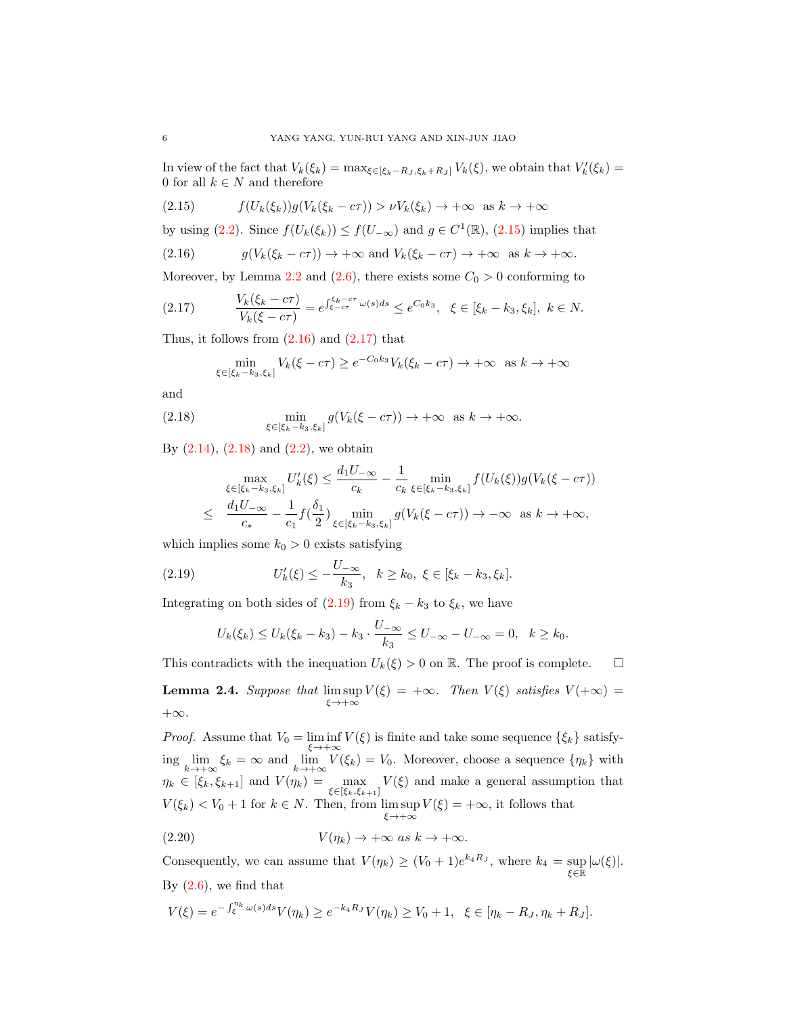In view of the fact that  $V_k(\xi_k) = \max_{\xi \in [\xi_k - R_J, \xi_k + R_J]} V_k(\xi)$ , we obtain that  $V'_k(\xi_k) =$ 0 for all  $k\in N$  and therefore

<span id="page-5-0"></span>(2.15) 
$$
f(U_k(\xi_k))g(V_k(\xi_k-c\tau)) > \nu V_k(\xi_k) \to +\infty \text{ as } k \to +\infty
$$

by using [\(2.2\)](#page-2-2). Since  $f(U_k(\xi_k)) \leq f(U_{-\infty})$  and  $g \in C^1(\mathbb{R})$ , [\(2.15\)](#page-5-0) implies that

<span id="page-5-1"></span>(2.16) 
$$
g(V_k(\xi_k - c\tau)) \to +\infty \text{ and } V_k(\xi_k - c\tau) \to +\infty \text{ as } k \to +\infty.
$$

Moreover, by Lemma [2.2](#page-3-5) and [\(2.6\)](#page-3-3), there exists some  $C_0 > 0$  conforming to

$$
(2.17) \t\t\t V_k(\xi_k - c\tau) = e^{\int \xi_k - c\tau \omega(s)ds} \le e^{C_0 k_3}, \quad \xi \in [\xi_k - k_3, \xi_k], \ k \in N.
$$

Thus, it follows from  $(2.16)$  and  $(2.17)$  that

<span id="page-5-3"></span><span id="page-5-2"></span>
$$
\min_{\xi \in [\xi_k - k_3, \xi_k]} V_k(\xi - c\tau) \ge e^{-C_0 k_3} V_k(\xi_k - c\tau) \to +\infty \text{ as } k \to +\infty
$$

and

(2.18) 
$$
\min_{\xi \in [\xi_k - k_3, \xi_k]} g(V_k(\xi - c\tau)) \to +\infty \text{ as } k \to +\infty.
$$

By  $(2.14)$ ,  $(2.18)$  and  $(2.2)$ , we obtain

$$
\max_{\xi \in [\xi_k - k_3, \xi_k]} U'_k(\xi) \le \frac{d_1 U_{-\infty}}{c_k} - \frac{1}{c_k} \min_{\xi \in [\xi_k - k_3, \xi_k]} f(U_k(\xi)) g(V_k(\xi - c\tau))
$$
  

$$
\le \frac{d_1 U_{-\infty}}{c_*} - \frac{1}{c_1} f(\frac{\delta_1}{2}) \min_{\xi \in [\xi_k - k_3, \xi_k]} g(V_k(\xi - c\tau)) \to -\infty \text{ as } k \to +\infty,
$$

which implies some  $k_0 > 0$  exists satisfying

(2.19) 
$$
U'_{k}(\xi) \leq -\frac{U_{-\infty}}{k_{3}}, \quad k \geq k_{0}, \ \xi \in [\xi_{k} - k_{3}, \xi_{k}].
$$

Integrating on both sides of  $(2.19)$  from  $\xi_k - k_3$  to  $\xi_k$ , we have

<span id="page-5-4"></span>
$$
U_k(\xi_k) \le U_k(\xi_k - k_3) - k_3 \cdot \frac{U_{-\infty}}{k_3} \le U_{-\infty} - U_{-\infty} = 0, \quad k \ge k_0.
$$

This contradicts with the inequation  $U_k(\xi) > 0$  on R. The proof is complete.  $\Box$ 

<span id="page-5-6"></span>**Lemma 2.4.** Suppose that  $\limsup_{\xi \to +\infty} V(\xi) = +\infty$ . Then  $V(\xi)$  satisfies  $V(+\infty) =$  $+\infty$ .

*Proof.* Assume that  $V_0 = \liminf_{\xi \to +\infty} V(\xi)$  is finite and take some sequence  $\{\xi_k\}$  satisfying  $\lim_{k \to +\infty} \xi_k = \infty$  and  $\lim_{k \to +\infty} V(\xi_k) = V_0$ . Moreover, choose a sequence  $\{\eta_k\}$  with  $\eta_k \in [\xi_k, \xi_{k+1}]$  and  $V(\eta_k) = \max_{\xi \in [\xi_k, \xi_{k+1}]} V(\xi)$  and make a general assumption that  $V(\xi_k) < V_0 + 1$  for  $k \in N$ . Then, from  $\limsup V(\xi) = +\infty$ , it follows that  $\xi \rightarrow +\infty$ 

<span id="page-5-5"></span>(2.20) 
$$
V(\eta_k) \to +\infty \text{ as } k \to +\infty.
$$

Consequently, we can assume that  $V(\eta_k) \ge (V_0 + 1)e^{k_4 R_J}$ , where  $k_4 = \sup_{\xi \in \mathbb{R}} |\omega(\xi)|$ . By  $(2.6)$ , we find that

$$
V(\xi) = e^{-\int_{\xi}^{\eta_k} \omega(s)ds} V(\eta_k) \ge e^{-k_4 R_J} V(\eta_k) \ge V_0 + 1, \ \ \xi \in [\eta_k - R_J, \eta_k + R_J].
$$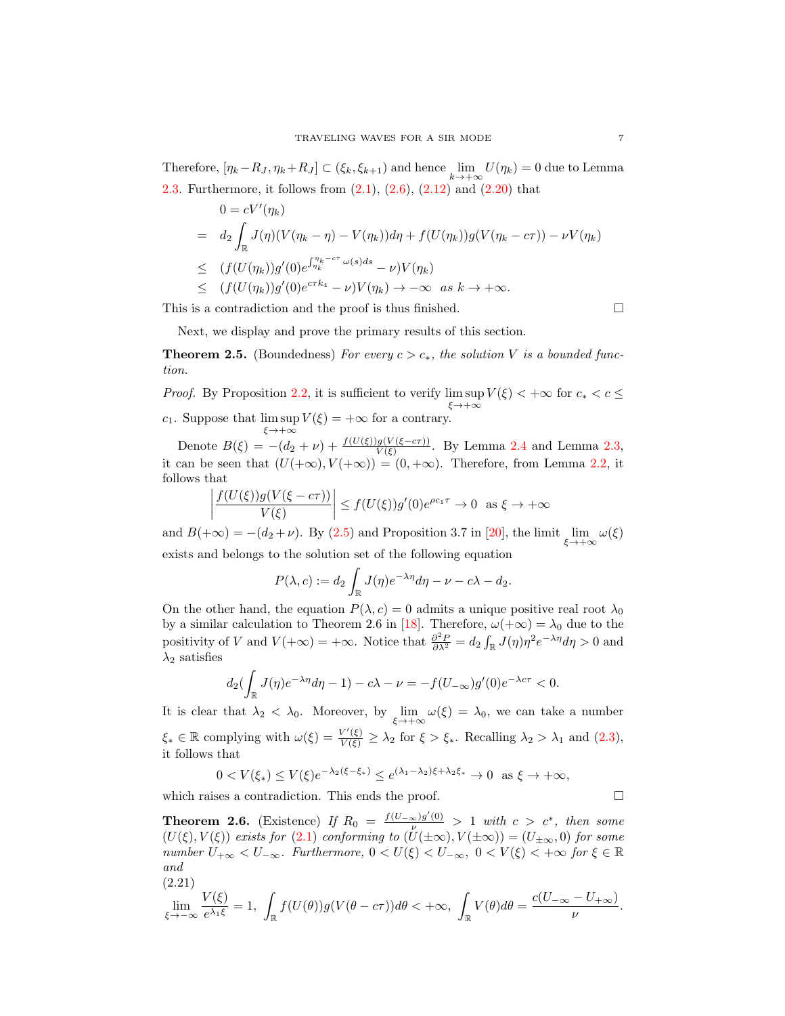Therefore,  $[\eta_k - R_J, \eta_k + R_J] \subset (\xi_k, \xi_{k+1})$  and hence  $\lim_{k \to +\infty} U(\eta_k) = 0$  due to Lemma [2.3.](#page-4-6) Furthermore, it follows from  $(2.1)$ ,  $(2.6)$ ,  $(2.12)$  and  $(2.20)$  that

$$
0 = cV'(\eta_k)
$$
  
=  $d_2 \int_{\mathbb{R}} J(\eta)(V(\eta_k - \eta) - V(\eta_k))d\eta + f(U(\eta_k))g(V(\eta_k - c\tau)) - \nu V(\eta_k))$   

$$
\leq (f(U(\eta_k))g'(0)e^{\int_{\eta_k}^{\eta_k - c\tau} \omega(s)ds} - \nu)V(\eta_k)
$$
  

$$
\leq (f(U(\eta_k))g'(0)e^{c\tau k_4} - \nu)V(\eta_k) \to -\infty \text{ as } k \to +\infty.
$$

This is a contradiction and the proof is thus finished.  $\square$ 

Next, we display and prove the primary results of this section.

<span id="page-6-0"></span>**Theorem 2.5.** (Boundedness) For every  $c > c_*$ , the solution V is a bounded function.

*Proof.* By Proposition [2.2,](#page-2-0) it is sufficient to verify  $\limsup V(\xi) < +\infty$  for  $c_* < c \le$  $\xi \rightarrow +\infty$ c<sub>1</sub>. Suppose that  $\limsup_{\xi \to +\infty} V(\xi) = +\infty$  for a contrary.

Denote  $B(\xi) = -(d_2 + \nu) + \frac{f(U(\xi))g(V(\xi - c\tau))}{V(\xi)}$ . By Lemma [2.4](#page-5-6) and Lemma [2.3,](#page-4-6) it can be seen that  $(U(+\infty), V(+\infty)) = (0, +\infty)$ . Therefore, from Lemma [2.2,](#page-3-5) it follows that

$$
\left| \frac{f(U(\xi))g(V(\xi - c\tau))}{V(\xi)} \right| \le f(U(\xi))g'(0)e^{\rho c_1 \tau} \to 0 \text{ as } \xi \to +\infty
$$

and  $B(+\infty) = -(d_2 + \nu)$ . By [\(2.5\)](#page-3-1) and Proposition 3.7 in [\[20\]](#page-12-4), the limit  $\lim_{\xi \to +\infty} \omega(\xi)$ exists and belongs to the solution set of the following equation

$$
P(\lambda, c) := d_2 \int_{\mathbb{R}} J(\eta) e^{-\lambda \eta} d\eta - \nu - c\lambda - d_2.
$$

On the other hand, the equation  $P(\lambda, c) = 0$  admits a unique positive real root  $\lambda_0$ by a similar calculation to Theorem 2.6 in [\[18\]](#page-12-7). Therefore,  $\omega(+\infty) = \lambda_0$  due to the positivity of V and  $V(+\infty) = +\infty$ . Notice that  $\frac{\partial^2 P}{\partial \lambda^2} = d_2 \int_{\mathbb{R}} J(\eta) \eta^2 e^{-\lambda \eta} d\eta > 0$  and  $\lambda_2$  satisfies

$$
d_2\left(\int_{\mathbb{R}} J(\eta)e^{-\lambda \eta} d\eta - 1\right) - c\lambda - \nu = -f(U_{-\infty})g'(0)e^{-\lambda c\tau} < 0.
$$

It is clear that  $\lambda_2 < \lambda_0$ . Moreover, by  $\lim_{\xi \to +\infty} \omega(\xi) = \lambda_0$ , we can take a number  $\xi_* \in \mathbb{R}$  complying with  $\omega(\xi) = \frac{V'(\xi)}{V(\xi)} \geq \lambda_2$  for  $\xi > \xi_*$ . Recalling  $\lambda_2 > \lambda_1$  and  $(2.3)$ , it follows that

$$
0 < V(\xi_*) \le V(\xi) e^{-\lambda_2(\xi - \xi_*)} \le e^{(\lambda_1 - \lambda_2)\xi + \lambda_2 \xi_*} \to 0 \quad \text{as } \xi \to +\infty,
$$

which raises a contradiction. This ends the proof.  $\Box$ 

<span id="page-6-2"></span>**Theorem 2.6.** (Existence) If  $R_0 = \frac{f(U_{-\infty})g'(0)}{v} > 1$  with  $c > c^*$ , then some  $(U(\xi), V(\xi))$  exists for [\(2.1\)](#page-2-1) conforming to  $(U(\pm \infty), V(\pm \infty)) = (U_{\pm \infty}, 0)$  for some number  $U_{+\infty} < U_{-\infty}$ . Furthermore,  $0 < U(\xi) < U_{-\infty}$ ,  $0 < V(\xi) < +\infty$  for  $\xi \in \mathbb{R}$ and (2.21)

<span id="page-6-1"></span>
$$
\lim_{\xi \to -\infty} \frac{V(\xi)}{e^{\lambda_1 \xi}} = 1, \ \int_{\mathbb{R}} f(U(\theta)) g(V(\theta - c\tau)) d\theta < +\infty, \ \int_{\mathbb{R}} V(\theta) d\theta = \frac{c(U_{-\infty} - U_{+\infty})}{\nu}.
$$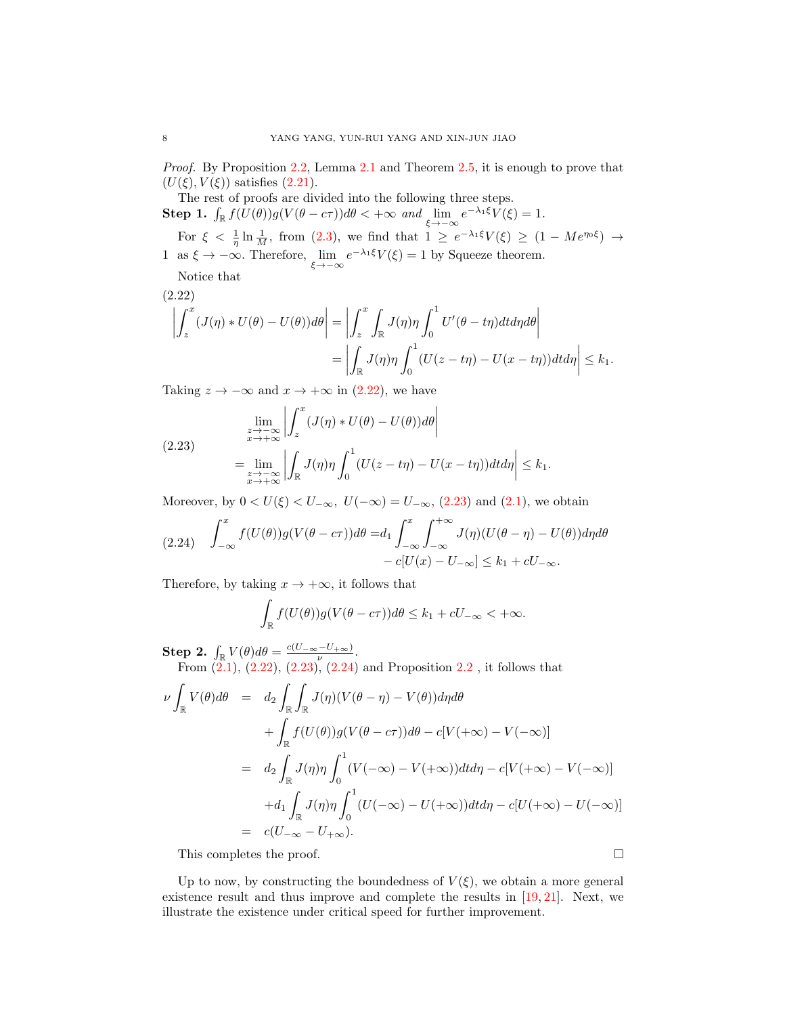Proof. By Proposition [2.2,](#page-2-0) Lemma [2.1](#page-3-6) and Theorem [2.5,](#page-6-0) it is enough to prove that  $(U(\xi), V(\xi))$  satisfies  $(2.21)$ .

The rest of proofs are divided into the following three steps. **Step 1.**  $\int_{\mathbb{R}} f(U(\theta))g(V(\theta - c\tau))d\theta < +\infty$  and  $\lim_{\xi \to -\infty} e^{-\lambda_1\xi}V(\xi) = 1$ . For  $\xi < \frac{1}{\eta} \ln \frac{1}{M}$ , from [\(2.3\)](#page-3-4), we find that  $1 \geq e^{-\lambda_1 \xi} V(\xi) \geq (1 - Me^{\eta_0 \xi}) \rightarrow$ 1 as  $\xi \to -\infty$ . Therefore,  $\lim_{\xi \to -\infty} e^{-\lambda_1 \xi} V(\xi) = 1$  by Squeeze theorem.

Notice that

<span id="page-7-0"></span>(2.22)  
\n
$$
\left| \int_z^x (J(\eta) * U(\theta) - U(\theta)) d\theta \right| = \left| \int_z^x \int_{\mathbb{R}} J(\eta) \eta \int_0^1 U'(\theta - t\eta) dt d\eta d\theta \right|
$$
\n
$$
= \left| \int_{\mathbb{R}} J(\eta) \eta \int_0^1 (U(z - t\eta) - U(x - t\eta)) dt d\eta \right| \le k_1.
$$

Taking  $z \to -\infty$  and  $x \to +\infty$  in [\(2.22\)](#page-7-0), we have

<span id="page-7-1"></span>(2.23) 
$$
\lim_{\substack{z \to -\infty \\ x \to +\infty}} \left| \int_z^x (J(\eta) * U(\theta) - U(\theta)) d\theta \right|
$$

$$
= \lim_{\substack{z \to -\infty \\ x \to +\infty}} \left| \int_{\mathbb{R}} J(\eta) \eta \int_0^1 (U(z - t\eta) - U(x - t\eta)) dt d\eta \right| \le k_1.
$$

Moreover, by  $0 < U(\xi) < U_{-\infty}$ ,  $U(-\infty) = U_{-\infty}$ , [\(2.23\)](#page-7-1) and [\(2.1\)](#page-2-1), we obtain

<span id="page-7-2"></span>
$$
(2.24) \quad \int_{-\infty}^{x} f(U(\theta))g(V(\theta - c\tau))d\theta = d_1 \int_{-\infty}^{x} \int_{-\infty}^{+\infty} J(\eta)(U(\theta - \eta) - U(\theta))d\eta d\theta
$$

$$
- c[U(x) - U_{-\infty}] \le k_1 + cU_{-\infty}.
$$

Therefore, by taking  $x \to +\infty$ , it follows that

$$
\int_{\mathbb{R}} f(U(\theta))g(V(\theta - c\tau))d\theta \le k_1 + cU_{-\infty} < +\infty.
$$

Step 2.  $\int_{\mathbb{R}} V(\theta) d\theta = \frac{c(U_{-\infty} - U_{+\infty})}{\nu}$ .

From  $(2.1)$ ,  $(2.22)$ ,  $(2.23)$ ,  $(2.24)$  and Proposition  $2.2$ , it follows that

$$
\nu \int_{\mathbb{R}} V(\theta) d\theta = d_2 \int_{\mathbb{R}} \int_{\mathbb{R}} J(\eta) (V(\theta - \eta) - V(\theta)) d\eta d\theta \n+ \int_{\mathbb{R}} f(U(\theta)) g(V(\theta - c\tau)) d\theta - c[V(+\infty) - V(-\infty)] \n= d_2 \int_{\mathbb{R}} J(\eta) \eta \int_0^1 (V(-\infty) - V(+\infty)) dt d\eta - c[V(+\infty) - V(-\infty)] \n+ d_1 \int_{\mathbb{R}} J(\eta) \eta \int_0^1 (U(-\infty) - U(+\infty)) dt d\eta - c[U(+\infty) - U(-\infty)] \n= c(U_{-\infty} - U_{+\infty}).
$$

This completes the proof.

Up to now, by constructing the boundedness of  $V(\xi)$ , we obtain a more general existence result and thus improve and complete the results in [\[19,](#page-12-10) [21\]](#page-12-11). Next, we illustrate the existence under critical speed for further improvement.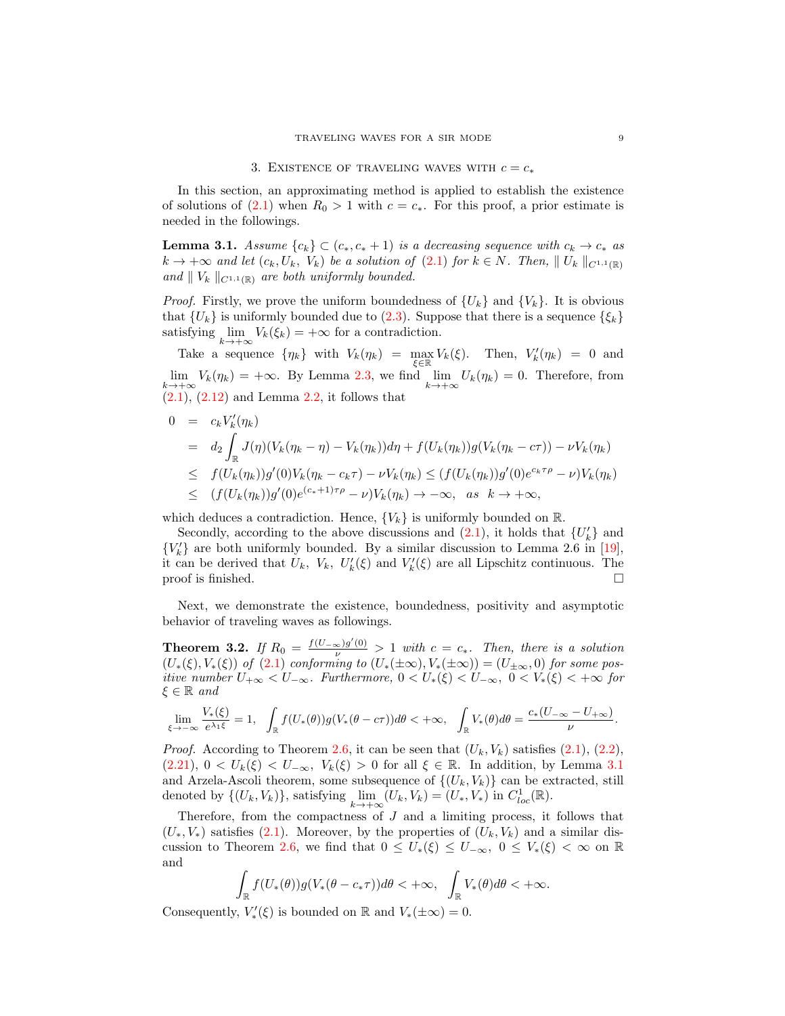# 3. EXISTENCE OF TRAVELING WAVES WITH  $c = c_*$

In this section, an approximating method is applied to establish the existence of solutions of [\(2.1\)](#page-2-1) when  $R_0 > 1$  with  $c = c_*$ . For this proof, a prior estimate is needed in the followings.

<span id="page-8-0"></span>**Lemma 3.1.** Assume  ${c_k} \subset (c_*, c_* + 1)$  is a decreasing sequence with  $c_k \to c_*$  as  $k \to +\infty$  and let  $(c_k, U_k, V_k)$  be a solution of  $(2.1)$  for  $k \in N$ . Then,  $||U_k||_{C^{1,1}(\mathbb{R})}$ and  $\parallel V_k \parallel_{C^{1,1}(\mathbb{R})}$  are both uniformly bounded.

*Proof.* Firstly, we prove the uniform boundedness of  $\{U_k\}$  and  $\{V_k\}$ . It is obvious that  $\{U_k\}$  is uniformly bounded due to [\(2.3\)](#page-3-4). Suppose that there is a sequence  $\{\xi_k\}$ satisfying  $\lim_{k \to +\infty} V_k(\xi_k) = +\infty$  for a contradiction.

Take a sequence  $\{\eta_k\}$  with  $V_k(\eta_k) = \max_{\xi \in \mathbb{R}} V_k(\xi)$ . Then,  $V'_k(\eta_k) = 0$  and  $\lim_{k \to +\infty} V_k(\eta_k) = +\infty$ . By Lemma [2.3,](#page-4-6) we find  $\lim_{k \to +\infty} U_k(\eta_k) = 0$ . Therefore, from  $(2.1), (2.12)$  $(2.1), (2.12)$  $(2.1), (2.12)$  and Lemma [2.2,](#page-3-5) it follows that

$$
0 = c_k V'_k(\eta_k)
$$
  
\n
$$
= d_2 \int_{\mathbb{R}} J(\eta)(V_k(\eta_k - \eta) - V_k(\eta_k))d\eta + f(U_k(\eta_k))g(V_k(\eta_k - c\tau)) - \nu V_k(\eta_k))
$$
  
\n
$$
\leq f(U_k(\eta_k))g'(0)V_k(\eta_k - c_k\tau) - \nu V_k(\eta_k) \leq (f(U_k(\eta_k))g'(0)e^{c_k\tau\rho} - \nu)V_k(\eta_k)
$$
  
\n
$$
\leq (f(U_k(\eta_k))g'(0)e^{(c_k+1)\tau\rho} - \nu)V_k(\eta_k) \to -\infty, \text{ as } k \to +\infty,
$$

which deduces a contradiction. Hence,  $\{V_k\}$  is uniformly bounded on  $\mathbb{R}$ .

Secondly, according to the above discussions and  $(2.1)$ , it holds that  $\{U_k'\}$  and  ${V'_{k}}$  are both uniformly bounded. By a similar discussion to Lemma 2.6 in [\[19\]](#page-12-10), it can be derived that  $U_k$ ,  $V_k$ ,  $U'_k(\xi)$  and  $V'_k(\xi)$  are all Lipschitz continuous. The proof is finished.  $\Box$ 

Next, we demonstrate the existence, boundedness, positivity and asymptotic behavior of traveling waves as followings.

**Theorem 3.2.** If  $R_0 = \frac{f(U-\infty)g'(0)}{\nu} > 1$  with  $c = c_*$ . Then, there is a solution  $(U_*(\xi), V_*(\xi))$  of  $(2.1)$  conforming to  $(U_*(\pm \infty), V_*(\pm \infty)) = (U_{\pm \infty}, 0)$  for some positive number  $U_{+\infty} < U_{-\infty}$ . Furthermore,  $0 < U_*(\xi) < U_{-\infty}$ ,  $0 < V_*(\xi) < +\infty$  for  $\xi \in \mathbb{R}$  and

$$
\lim_{\xi \to -\infty} \frac{V_*(\xi)}{e^{\lambda_1 \xi}} = 1, \quad \int_{\mathbb{R}} f(U_*(\theta)) g(V_*(\theta - c\tau)) d\theta < +\infty, \quad \int_{\mathbb{R}} V_*(\theta) d\theta = \frac{c_*(U_{-\infty} - U_{+\infty})}{\nu}.
$$

*Proof.* According to Theorem [2.6,](#page-6-2) it can be seen that  $(U_k, V_k)$  satisfies  $(2.1), (2.2),$  $(2.1), (2.2),$  $(2.1), (2.2),$  $(2.1), (2.2),$  $(2.21), 0 < U_k(\xi) < U_{-\infty}, V_k(\xi) > 0$  $(2.21), 0 < U_k(\xi) < U_{-\infty}, V_k(\xi) > 0$  for all  $\xi \in \mathbb{R}$ . In addition, by Lemma [3.1](#page-8-0) and Arzela-Ascoli theorem, some subsequence of  $\{(U_k, V_k)\}\)$  can be extracted, still denoted by  $\{(U_k, V_k)\}\$ , satisfying  $\lim_{k \to +\infty} (U_k, V_k) = (U_*, V_*)$  in  $C^1_{loc}(\mathbb{R})$ .

Therefore, from the compactness of  $J$  and a limiting process, it follows that  $(U_*, V_*)$  satisfies [\(2.1\)](#page-2-1). Moreover, by the properties of  $(U_k, V_k)$  and a similar dis-cussion to Theorem [2.6,](#page-6-2) we find that  $0 \leq U_*(\xi) \leq U_{-\infty}$ ,  $0 \leq V_*(\xi) < \infty$  on  $\mathbb R$ and

$$
\int_{\mathbb{R}} f(U_*(\theta)) g(V_*(\theta - c_*\tau)) d\theta < +\infty, \quad \int_{\mathbb{R}} V_*(\theta) d\theta < +\infty.
$$

Consequently,  $V'_*(\xi)$  is bounded on  $\mathbb R$  and  $V_*(\pm \infty) = 0$ .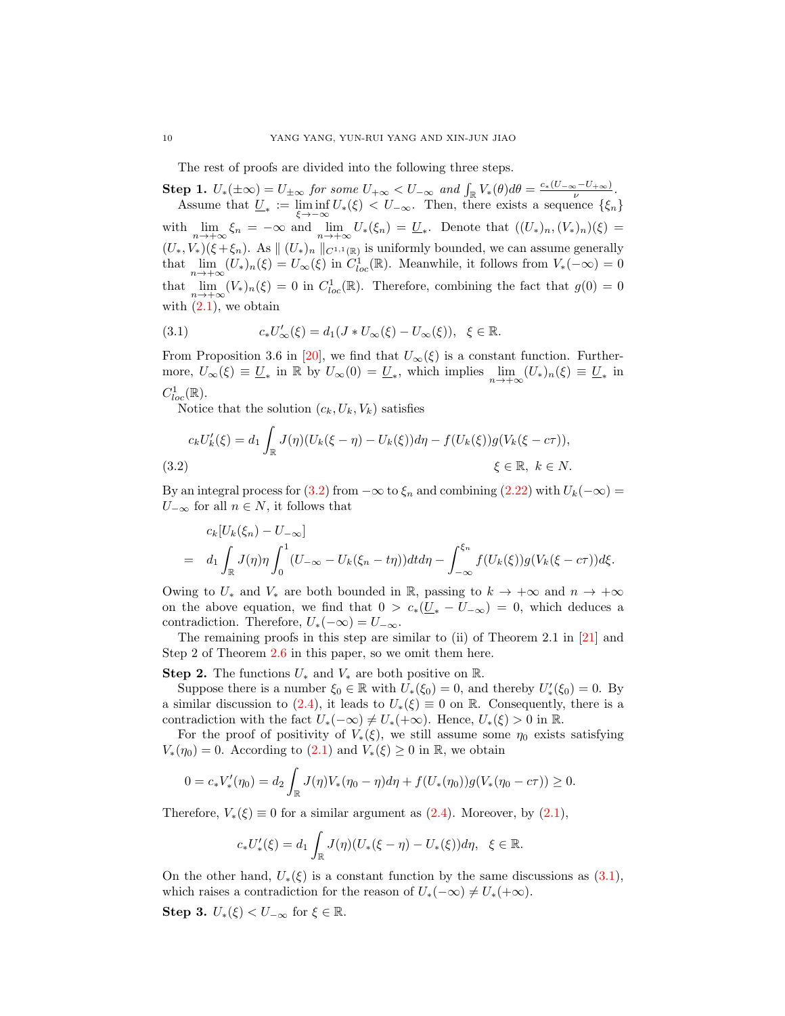The rest of proofs are divided into the following three steps.

**Step 1.**  $U_*(\pm \infty) = U_{\pm \infty}$  for some  $U_{+\infty} < U_{-\infty}$  and  $\int_{\mathbb{R}} V_*(\theta) d\theta = \frac{c_*(U_{-\infty} - U_{+\infty})}{\nu}$ . Assume that  $\underline{U}_* := \liminf_{\xi \to -\infty} U_*(\xi) < U_{-\infty}$ . Then, there exists a sequence  $\{\xi_n\}$ with  $\lim_{n\to+\infty}\xi_n = -\infty$  and  $\lim_{n\to+\infty}U_*(\xi_n) = \underline{U}_*.$  Denote that  $((U_*)_n, (V_*)_n)(\xi) =$  $(U_*, V_*)(\xi + \xi_n)$ . As  $|| (U_*)_n ||_{C^{1,1}(\mathbb{R})}$  is uniformly bounded, we can assume generally that  $\lim_{n\to+\infty}(U_*)_n(\xi)=U_\infty(\xi)$  in  $C^1_{loc}(\mathbb{R})$ . Meanwhile, it follows from  $V_*(-\infty)=0$ that  $\lim_{n\to+\infty}(V_*)_n(\xi)=0$  in  $C^1_{loc}(\mathbb{R})$ . Therefore, combining the fact that  $g(0)=0$ with  $(2.1)$ , we obtain

<span id="page-9-1"></span>(3.1) 
$$
c_* U'_{\infty}(\xi) = d_1(J * U_{\infty}(\xi) - U_{\infty}(\xi)), \ \xi \in \mathbb{R}.
$$

From Proposition 3.6 in [\[20\]](#page-12-4), we find that  $U_{\infty}(\xi)$  is a constant function. Furthermore,  $U_{\infty}(\xi) \equiv \underline{U}_{*}$  in  $\mathbb{R}$  by  $U_{\infty}(0) = \underline{U}_{*}$ , which implies  $\lim_{n \to +\infty} (U_{*})_{n}(\xi) \equiv \underline{U}_{*}$  in  $C^1_{loc}(\mathbb{R})$ .

Notice that the solution  $(c_k, U_k, V_k)$  satisfies

<span id="page-9-0"></span>
$$
c_k U'_k(\xi) = d_1 \int_{\mathbb{R}} J(\eta) (U_k(\xi - \eta) - U_k(\xi)) d\eta - f(U_k(\xi)) g(V_k(\xi - c\tau)),
$$
  
(3.2) 
$$
\xi \in \mathbb{R}, \ k \in N.
$$

By an integral process for [\(3.2\)](#page-9-0) from  $-\infty$  to  $\xi_n$  and combining [\(2.22\)](#page-7-0) with  $U_k(-\infty)$  =  $U_{-\infty}$  for all  $n \in N$ , it follows that

$$
c_k[U_k(\xi_n)-U_{-\infty}]
$$
  
=  $d_1 \int_{\mathbb{R}} J(\eta) \eta \int_0^1 (U_{-\infty}-U_k(\xi_n-t\eta)) dt d\eta - \int_{-\infty}^{\xi_n} f(U_k(\xi)) g(V_k(\xi-c\tau)) d\xi.$ 

Owing to  $U_*$  and  $V_*$  are both bounded in R, passing to  $k \to +\infty$  and  $n \to +\infty$ on the above equation, we find that  $0 > c_*(U_* - U_{-\infty}) = 0$ , which deduces a contradiction. Therefore,  $U_*(-\infty) = U_{-\infty}$ .

The remaining proofs in this step are similar to (ii) of Theorem 2.1 in [\[21\]](#page-12-11) and Step 2 of Theorem [2.6](#page-6-2) in this paper, so we omit them here.

Step 2. The functions  $U_*$  and  $V_*$  are both positive on  $\mathbb{R}$ .

Suppose there is a number  $\xi_0 \in \mathbb{R}$  with  $U_*(\xi_0) = 0$ , and thereby  $U'_*(\xi_0) = 0$ . By a similar discussion to [\(2.4\)](#page-3-0), it leads to  $U_*(\xi) \equiv 0$  on R. Consequently, there is a contradiction with the fact  $U_*(-\infty) \neq U_*(-\infty)$ . Hence,  $U_*(\xi) > 0$  in R.

For the proof of positivity of  $V_*(\xi)$ , we still assume some  $\eta_0$  exists satisfying  $V_*(\eta_0) = 0$ . According to  $(2.1)$  and  $V_*(\xi) \geq 0$  in  $\mathbb{R}$ , we obtain

$$
0 = c_* V'_*(\eta_0) = d_2 \int_{\mathbb{R}} J(\eta) V_*(\eta_0 - \eta) d\eta + f(U_*(\eta_0)) g(V_*(\eta_0 - c\tau)) \ge 0.
$$

Therefore,  $V_*(\xi) \equiv 0$  for a similar argument as  $(2.4)$ . Moreover, by  $(2.1)$ ,

$$
c_* U'_*(\xi) = d_1 \int_{\mathbb{R}} J(\eta) (U_*(\xi - \eta) - U_*(\xi)) d\eta, \ \ \xi \in \mathbb{R}.
$$

On the other hand,  $U_*(\xi)$  is a constant function by the same discussions as  $(3.1)$ , which raises a contradiction for the reason of  $U_*(-\infty) \neq U_*(-\infty)$ .

Step 3.  $U_*(\xi) < U_{-\infty}$  for  $\xi \in \mathbb{R}$ .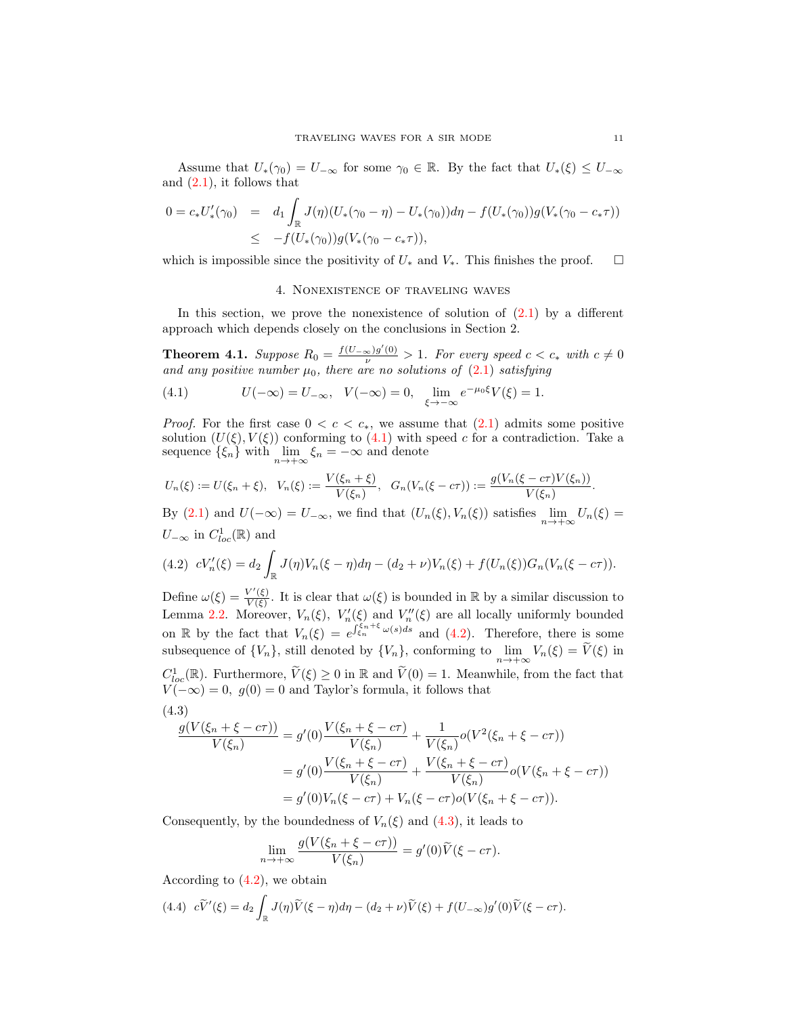Assume that  $U_*(\gamma_0) = U_{-\infty}$  for some  $\gamma_0 \in \mathbb{R}$ . By the fact that  $U_*(\xi) \leq U_{-\infty}$ and  $(2.1)$ , it follows that

$$
0 = c_* U'_*(\gamma_0) = d_1 \int_{\mathbb{R}} J(\eta) (U_*(\gamma_0 - \eta) - U_*(\gamma_0)) d\eta - f(U_*(\gamma_0)) g(V_*(\gamma_0 - c_*\tau))
$$
  

$$
\leq -f(U_*(\gamma_0)) g(V_*(\gamma_0 - c_*\tau)),
$$

which is impossible since the positivity of  $U_*$  and  $V_*$ . This finishes the proof.  $\Box$ 

### 4. Nonexistence of traveling waves

In this section, we prove the nonexistence of solution of  $(2.1)$  by a different approach which depends closely on the conclusions in Section 2.

**Theorem 4.1.** Suppose  $R_0 = \frac{f(U_{-\infty})g'(0)}{\nu} > 1$ . For every speed  $c < c_*$  with  $c \neq 0$ and any positive number  $\mu_0$ , there are no solutions of  $(2.1)$  satisfying

<span id="page-10-0"></span>(4.1) 
$$
U(-\infty) = U_{-\infty}, \quad V(-\infty) = 0, \quad \lim_{\xi \to -\infty} e^{-\mu_0 \xi} V(\xi) = 1.
$$

*Proof.* For the first case  $0 < c < c_*$ , we assume that  $(2.1)$  admits some positive solution  $(U(\xi), V(\xi))$  conforming to  $(4.1)$  with speed c for a contradiction. Take a sequence  $\{\xi_n\}$  with  $\lim_{n \to +\infty} \xi_n = -\infty$  and denote

$$
U_n(\xi) := U(\xi_n + \xi), \quad V_n(\xi) := \frac{V(\xi_n + \xi)}{V(\xi_n)}, \quad G_n(V_n(\xi - c\tau)) := \frac{g(V_n(\xi - c\tau)V(\xi_n))}{V(\xi_n)}.
$$

By [\(2.1\)](#page-2-1) and  $U(-\infty) = U_{-\infty}$ , we find that  $(U_n(\xi), V_n(\xi))$  satisfies  $\lim_{n \to +\infty} U_n(\xi) =$  $U_{-\infty}$  in  $C^1_{loc}(\mathbb{R})$  and

<span id="page-10-1"></span>
$$
(4.2) \ cV'_n(\xi) = d_2 \int_{\mathbb{R}} J(\eta) V_n(\xi - \eta) d\eta - (d_2 + \nu) V_n(\xi) + f(U_n(\xi)) G_n(V_n(\xi - c\tau)).
$$

Define  $\omega(\xi) = \frac{V'(\xi)}{V(\xi)}$  $\frac{V'(\xi)}{V(\xi)}$ . It is clear that  $\omega(\xi)$  is bounded in  $\mathbb R$  by a similar discussion to Lemma [2.2.](#page-3-5) Moreover,  $V_n(\xi)$ ,  $V'_n(\xi)$  and  $V''_n(\xi)$  are all locally uniformly bounded on R by the fact that  $V_n(\xi) = e^{\int \xi_n^{f_n+\xi} \omega(s)ds}$  and [\(4.2\)](#page-10-1). Therefore, there is some subsequence of  $\{V_n\}$ , still denoted by  $\{V_n\}$ , conforming to  $\lim_{n\to+\infty} V_n(\xi) = V(\xi)$  in  $C_{loc}^1(\mathbb{R})$ . Furthermore,  $\widetilde{V}(\xi) \geq 0$  in  $\mathbb{R}$  and  $\widetilde{V}(0) = 1$ . Meanwhile, from the fact that  $V(-\infty) = 0$ ,  $g(0) = 0$  and Taylor's formula, it follows that (4.3)

<span id="page-10-2"></span>
$$
\frac{g(V(\xi_n + \xi - c\tau))}{V(\xi_n)} = g'(0) \frac{V(\xi_n + \xi - c\tau)}{V(\xi_n)} + \frac{1}{V(\xi_n)} o(V^2(\xi_n + \xi - c\tau))
$$
  
=  $g'(0) \frac{V(\xi_n + \xi - c\tau)}{V(\xi_n)} + \frac{V(\xi_n + \xi - c\tau)}{V(\xi_n)} o(V(\xi_n + \xi - c\tau))$   
=  $g'(0) V_n(\xi - c\tau) + V_n(\xi - c\tau) o(V(\xi_n + \xi - c\tau)).$ 

Consequently, by the boundedness of  $V_n(\xi)$  and  $(4.3)$ , it leads to

$$
\lim_{n \to +\infty} \frac{g(V(\xi_n + \xi - c\tau))}{V(\xi_n)} = g'(0)\widetilde{V}(\xi - c\tau).
$$

According to [\(4.2\)](#page-10-1), we obtain

<span id="page-10-3"></span>(4.4) 
$$
c\widetilde{V}'(\xi) = d_2 \int_{\mathbb{R}} J(\eta) \widetilde{V}(\xi - \eta) d\eta - (d_2 + \nu) \widetilde{V}(\xi) + f(U_{-\infty})g'(0) \widetilde{V}(\xi - c\tau).
$$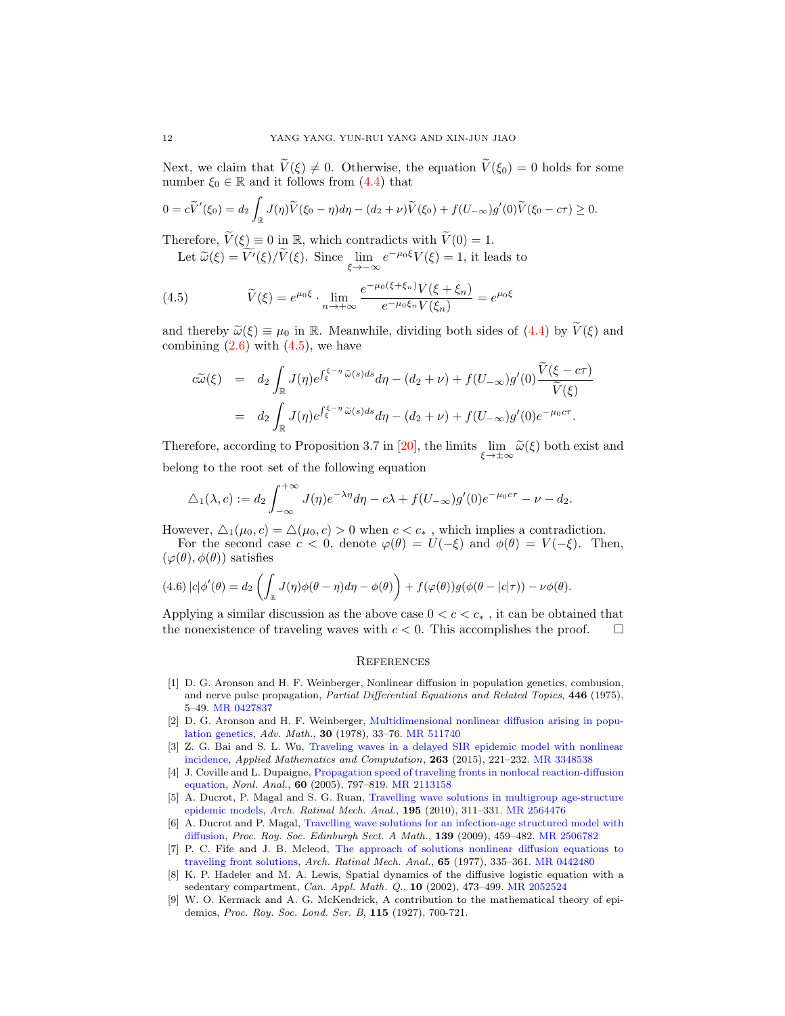Next, we claim that  $\widetilde{V}(\xi) \neq 0$ . Otherwise, the equation  $\widetilde{V}(\xi_0) = 0$  holds for some number  $\xi_0 \in \mathbb{R}$  and it follows from [\(4.4\)](#page-10-3) that

$$
0 = c\widetilde{V}'(\xi_0) = d_2 \int_{\mathbb{R}} J(\eta) \widetilde{V}(\xi_0 - \eta) d\eta - (d_2 + \nu) \widetilde{V}(\xi_0) + f(U_{-\infty})g'(0) \widetilde{V}(\xi_0 - c\tau) \ge 0.
$$

Therefore,  $\widetilde{V}(\xi) \equiv 0$  in  $\mathbb{R}$ , which contradicts with  $\widetilde{V}(0) = 1$ .

<span id="page-11-9"></span>Let  $\widetilde{\omega}(\xi) = \widetilde{V'}(\xi)/\widetilde{V}(\xi)$ . Since  $\lim_{\xi \to -\infty} e^{-\mu_0 \xi} V(\xi) = 1$ , it leads to

(4.5) 
$$
\widetilde{V}(\xi) = e^{\mu_0 \xi} \cdot \lim_{n \to +\infty} \frac{e^{-\mu_0(\xi + \xi_n)} V(\xi + \xi_n)}{e^{-\mu_0 \xi_n} V(\xi_n)} = e^{\mu_0 \xi}
$$

and thereby  $\widetilde{\omega}(\xi) \equiv \mu_0$  in R. Meanwhile, dividing both sides of [\(4.4\)](#page-10-3) by  $\widetilde{V}(\xi)$  and combining  $(2.6)$  with  $(4.5)$ , we have

$$
\begin{split} c\widetilde{\omega}(\xi) &= d_2 \int_{\mathbb{R}} J(\eta) e^{\int_{\xi}^{\xi - \eta} \widetilde{\omega}(s) ds} d\eta - (d_2 + \nu) + f(U_{-\infty}) g'(0) \frac{\widetilde{V}(\xi - c\tau)}{\widetilde{V}(\xi)} \\ &= d_2 \int_{\mathbb{R}} J(\eta) e^{\int_{\xi}^{\xi - \eta} \widetilde{\omega}(s) ds} d\eta - (d_2 + \nu) + f(U_{-\infty}) g'(0) e^{-\mu_0 c\tau} .\end{split}
$$

Therefore, according to Proposition 3.7 in [\[20\]](#page-12-4), the limits  $\lim_{\xi \to \pm \infty} \tilde{\omega}(\xi)$  both exist and belong to the root set of the following equation

$$
\triangle_1(\lambda, c) := d_2 \int_{-\infty}^{+\infty} J(\eta) e^{-\lambda \eta} d\eta - c\lambda + f(U_{-\infty}) g'(0) e^{-\mu_0 c \tau} - \nu - d_2.
$$

However,  $\Delta_1(\mu_0, c) = \Delta(\mu_0, c) > 0$  when  $c < c_*$ , which implies a contradiction. For the second case  $c < 0$ , denote  $\varphi(\theta) = U(-\xi)$  and  $\phi(\theta) = V(-\xi)$ . Then,  $(\varphi(\theta), \phi(\theta))$  satisfies

$$
(4.6) |c| \phi'(\theta) = d_2 \left( \int_{\mathbb{R}} J(\eta) \phi(\theta - \eta) d\eta - \phi(\theta) \right) + f(\varphi(\theta)) g(\phi(\theta - |c|\tau)) - \nu \phi(\theta).
$$

Applying a similar discussion as the above case  $0 < c < c_*$ , it can be obtained that the nonexistence of traveling waves with  $c < 0$ . This accomplishes the proof.  $\square$ 

# **REFERENCES**

- <span id="page-11-0"></span>[1] D. G. Aronson and H. F. Weinberger, Nonlinear diffusion in population genetics, combusion, and nerve pulse propagation, Partial Differential Equations and Related Topics, 446 (1975), 5–49. [MR 0427837](http://www.ams.org/mathscinet-getitem?mr=0427837&return=pdf)
- <span id="page-11-1"></span>[2] D. G. Aronson and H. F. Weinberger, [Multidimensional nonlinear diffusion arising in popu](http://dx.doi.org/10.1016/0001-8708(78)90130-5)[lation genetics,](http://dx.doi.org/10.1016/0001-8708(78)90130-5) Adv. Math., 30 (1978), 33–76. [MR 511740](http://www.ams.org/mathscinet-getitem?mr=511740&return=pdf)
- <span id="page-11-5"></span>[3] Z. G. Bai and S. L. Wu, [Traveling waves in a delayed SIR epidemic model with nonlinear](http://dx.doi.org/10.1016/j.amc.2015.04.048) [incidence,](http://dx.doi.org/10.1016/j.amc.2015.04.048) Applied Mathematics and Computation, 263 (2015), 221–232. [MR 3348538](http://www.ams.org/mathscinet-getitem?mr=3348538&return=pdf)
- <span id="page-11-8"></span>[4] J. Coville and L. Dupaigne, [Propagation speed of traveling fronts in nonlocal reaction-diffusion](http://dx.doi.org/10.1016/j.na.2003.10.030) [equation,](http://dx.doi.org/10.1016/j.na.2003.10.030) Nonl. Anal., 60 (2005), 797–819. [MR 2113158](http://www.ams.org/mathscinet-getitem?mr=2113158&return=pdf)
- <span id="page-11-2"></span>[5] A. Ducrot, P. Magal and S. G. Ruan, [Travelling wave solutions in multigroup age-structure](http://dx.doi.org/10.1007/s00205-008-0203-8) [epidemic models,](http://dx.doi.org/10.1007/s00205-008-0203-8) Arch. Ratinal Mech. Anal., 195 (2010), 311–331. [MR 2564476](http://www.ams.org/mathscinet-getitem?mr=2564476&return=pdf)
- <span id="page-11-6"></span>[6] A. Ducrot and P. Magal, [Travelling wave solutions for an infection-age structured model with](http://dx.doi.org/10.1017/S0308210507000455) [diffusion,](http://dx.doi.org/10.1017/S0308210507000455) Proc. Roy. Soc. Edinburgh Sect. A Math., 139 (2009), 459–482. [MR 2506782](http://www.ams.org/mathscinet-getitem?mr=2506782&return=pdf)
- <span id="page-11-3"></span>[7] P. C. Fife and J. B. Mcleod, [The approach of solutions nonlinear diffusion equations to](http://dx.doi.org/10.1007/BF00250432) [traveling front solutions,](http://dx.doi.org/10.1007/BF00250432) Arch. Ratinal Mech. Anal., 65 (1977), 335–361. [MR 0442480](http://www.ams.org/mathscinet-getitem?mr=0442480&return=pdf)
- <span id="page-11-4"></span>[8] K. P. Hadeler and M. A. Lewis, Spatial dynamics of the diffusive logistic equation with a sedentary compartment, Can. Appl. Math. Q., 10 (2002), 473-499. [MR 2052524](http://www.ams.org/mathscinet-getitem?mr=2052524&return=pdf)
- <span id="page-11-7"></span>[9] W. O. Kermack and A. G. McKendrick, A contribution to the mathematical theory of epidemics, Proc. Roy. Soc. Lond. Ser. B, 115 (1927), 700-721.